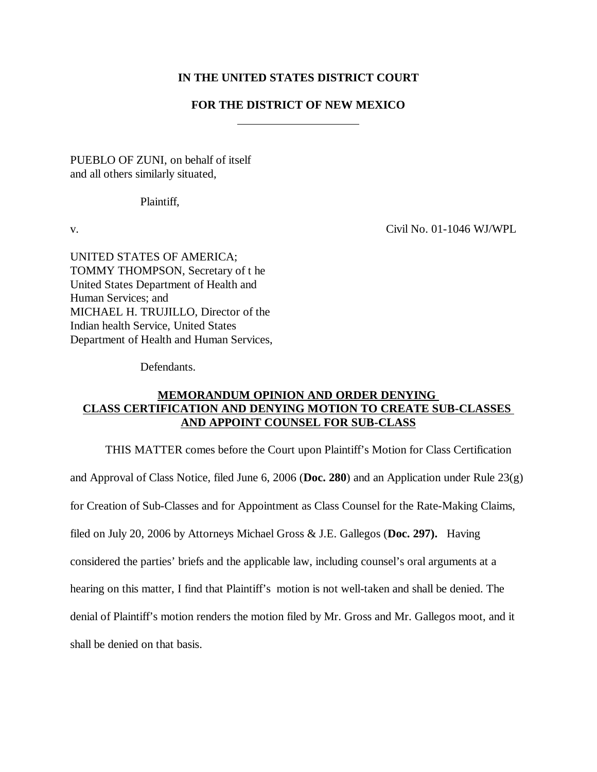# **IN THE UNITED STATES DISTRICT COURT**

# **FOR THE DISTRICT OF NEW MEXICO**

PUEBLO OF ZUNI, on behalf of itself and all others similarly situated,

Plaintiff,

v. Civil No. 01-1046 WJ/WPL

UNITED STATES OF AMERICA; TOMMY THOMPSON, Secretary of t he United States Department of Health and Human Services; and MICHAEL H. TRUJILLO, Director of the Indian health Service, United States Department of Health and Human Services,

Defendants.

# **MEMORANDUM OPINION AND ORDER DENYING CLASS CERTIFICATION AND DENYING MOTION TO CREATE SUB-CLASSES AND APPOINT COUNSEL FOR SUB-CLASS**

THIS MATTER comes before the Court upon Plaintiff's Motion for Class Certification and Approval of Class Notice, filed June 6, 2006 (**Doc. 280**) and an Application under Rule 23(g) for Creation of Sub-Classes and for Appointment as Class Counsel for the Rate-Making Claims, filed on July 20, 2006 by Attorneys Michael Gross & J.E. Gallegos (**Doc. 297).** Having considered the parties' briefs and the applicable law, including counsel's oral arguments at a hearing on this matter, I find that Plaintiff's motion is not well-taken and shall be denied. The denial of Plaintiff's motion renders the motion filed by Mr. Gross and Mr. Gallegos moot, and it shall be denied on that basis.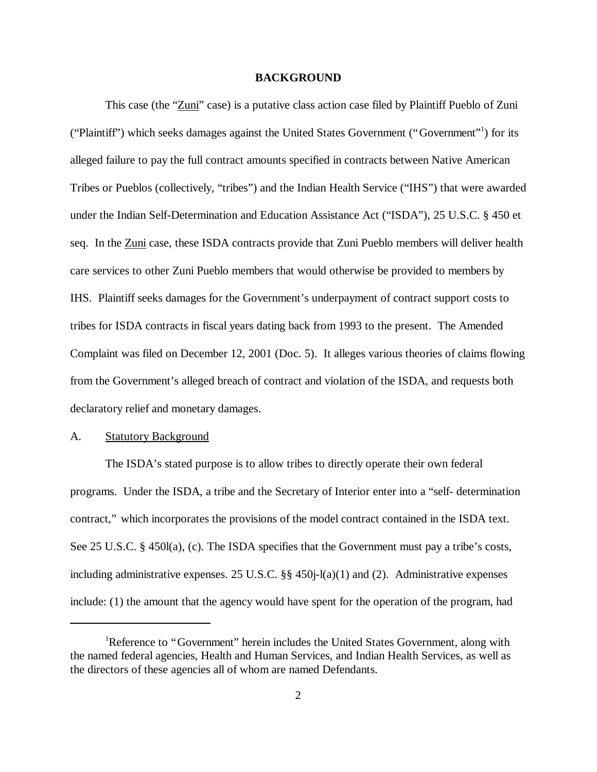#### **BACKGROUND**

This case (the "Zuni" case) is a putative class action case filed by Plaintiff Pueblo of Zuni ("Plaintiff") which seeks damages against the United States Government ("Government" 1 ) for its alleged failure to pay the full contract amounts specified in contracts between Native American Tribes or Pueblos (collectively, "tribes") and the Indian Health Service ("IHS") that were awarded under the Indian Self-Determination and Education Assistance Act ("ISDA"), 25 U.S.C. § 450 et seq. In the Zuni case, these ISDA contracts provide that Zuni Pueblo members will deliver health care services to other Zuni Pueblo members that would otherwise be provided to members by IHS. Plaintiff seeks damages for the Government's underpayment of contract support costs to tribes for ISDA contracts in fiscal years dating back from 1993 to the present. The Amended Complaint was filed on December 12, 2001 (Doc. 5). It alleges various theories of claims flowing from the Government's alleged breach of contract and violation of the ISDA, and requests both declaratory relief and monetary damages.

## A. Statutory Background

The ISDA's stated purpose is to allow tribes to directly operate their own federal programs. Under the ISDA, a tribe and the Secretary of Interior enter into a "self- determination contract," which incorporates the provisions of the model contract contained in the ISDA text. See 25 U.S.C. § 450l(a), (c). The ISDA specifies that the Government must pay a tribe's costs, including administrative expenses. 25 U.S.C. §§ 450j-l(a)(1) and (2). Administrative expenses include: (1) the amount that the agency would have spent for the operation of the program, had

<sup>&</sup>lt;sup>1</sup>Reference to "Government" herein includes the United States Government, along with the named federal agencies, Health and Human Services, and Indian Health Services, as well as the directors of these agencies all of whom are named Defendants.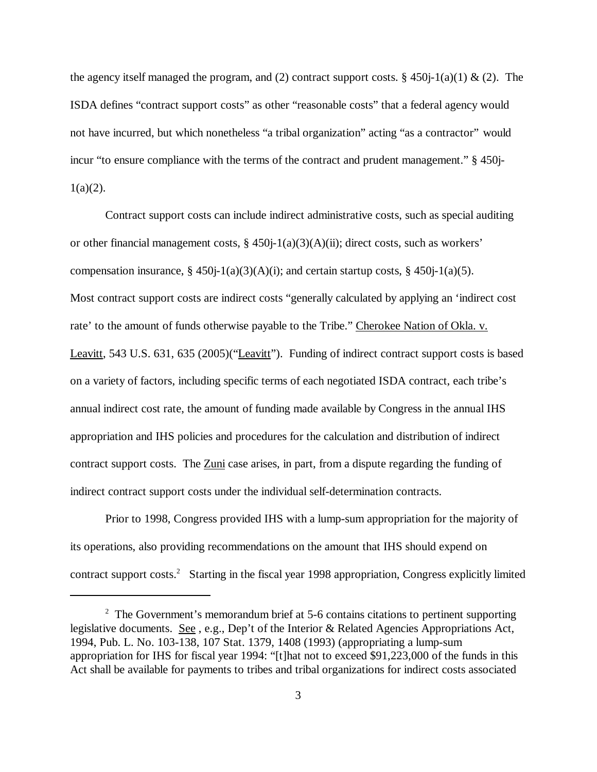the agency itself managed the program, and (2) contract support costs. § 450 $j-1$ (a)(1) & (2). The ISDA defines "contract support costs" as other "reasonable costs" that a federal agency would not have incurred, but which nonetheless "a tribal organization" acting "as a contractor" would incur "to ensure compliance with the terms of the contract and prudent management." § 450j- $1(a)(2)$ .

Contract support costs can include indirect administrative costs, such as special auditing or other financial management costs, § 450j-1(a)(3)(A)(ii); direct costs, such as workers' compensation insurance,  $\S 450j-1(a)(3)(A)(i)$ ; and certain startup costs,  $\S 450j-1(a)(5)$ . Most contract support costs are indirect costs "generally calculated by applying an 'indirect cost rate' to the amount of funds otherwise payable to the Tribe." Cherokee Nation of Okla. v. Leavitt, 543 U.S. 631, 635 (2005)("Leavitt"). Funding of indirect contract support costs is based on a variety of factors, including specific terms of each negotiated ISDA contract, each tribe's annual indirect cost rate, the amount of funding made available by Congress in the annual IHS appropriation and IHS policies and procedures for the calculation and distribution of indirect contract support costs. The Zuni case arises, in part, from a dispute regarding the funding of indirect contract support costs under the individual self-determination contracts.

Prior to 1998, Congress provided IHS with a lump-sum appropriation for the majority of its operations, also providing recommendations on the amount that IHS should expend on contract support costs.<sup>2</sup> Starting in the fiscal year 1998 appropriation, Congress explicitly limited

<sup>&</sup>lt;sup>2</sup> The Government's memorandum brief at 5-6 contains citations to pertinent supporting legislative documents. See , e.g., Dep't of the Interior & Related Agencies Appropriations Act, 1994, Pub. L. No. 103-138, 107 Stat. 1379, 1408 (1993) (appropriating a lump-sum appropriation for IHS for fiscal year 1994: "[t]hat not to exceed \$91,223,000 of the funds in this Act shall be available for payments to tribes and tribal organizations for indirect costs associated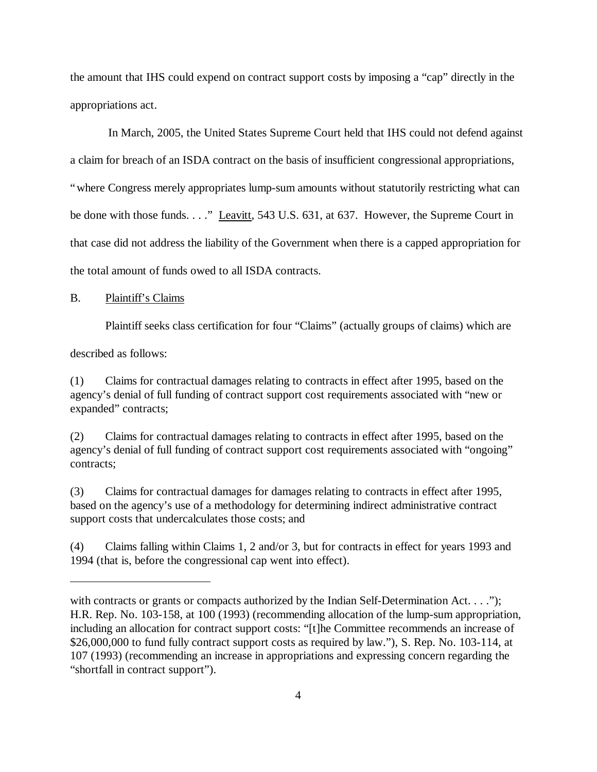the amount that IHS could expend on contract support costs by imposing a "cap" directly in the appropriations act.

 In March, 2005, the United States Supreme Court held that IHS could not defend against a claim for breach of an ISDA contract on the basis of insufficient congressional appropriations, "where Congress merely appropriates lump-sum amounts without statutorily restricting what can be done with those funds. . . ." Leavitt, 543 U.S. 631, at 637. However, the Supreme Court in that case did not address the liability of the Government when there is a capped appropriation for the total amount of funds owed to all ISDA contracts.

#### B. Plaintiff's Claims

Plaintiff seeks class certification for four "Claims" (actually groups of claims) which are

described as follows:

(1) Claims for contractual damages relating to contracts in effect after 1995, based on the agency's denial of full funding of contract support cost requirements associated with "new or expanded" contracts;

(2) Claims for contractual damages relating to contracts in effect after 1995, based on the agency's denial of full funding of contract support cost requirements associated with "ongoing" contracts;

(3) Claims for contractual damages for damages relating to contracts in effect after 1995, based on the agency's use of a methodology for determining indirect administrative contract support costs that undercalculates those costs; and

(4) Claims falling within Claims 1, 2 and/or 3, but for contracts in effect for years 1993 and 1994 (that is, before the congressional cap went into effect).

with contracts or grants or compacts authorized by the Indian Self-Determination Act.  $\dots$ "); H.R. Rep. No. 103-158, at 100 (1993) (recommending allocation of the lump-sum appropriation, including an allocation for contract support costs: "[t]he Committee recommends an increase of \$26,000,000 to fund fully contract support costs as required by law."), S. Rep. No. 103-114, at 107 (1993) (recommending an increase in appropriations and expressing concern regarding the "shortfall in contract support").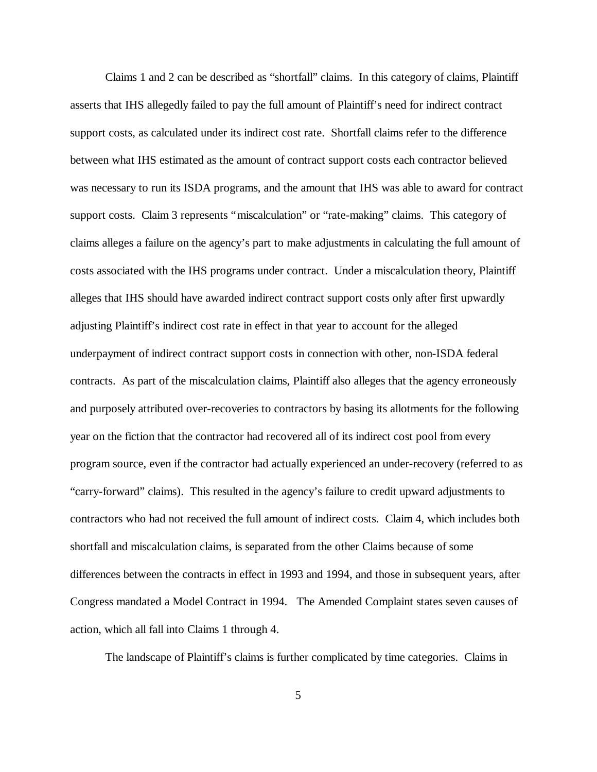Claims 1 and 2 can be described as "shortfall" claims. In this category of claims, Plaintiff asserts that IHS allegedly failed to pay the full amount of Plaintiff's need for indirect contract support costs, as calculated under its indirect cost rate. Shortfall claims refer to the difference between what IHS estimated as the amount of contract support costs each contractor believed was necessary to run its ISDA programs, and the amount that IHS was able to award for contract support costs. Claim 3 represents "miscalculation" or "rate-making" claims. This category of claims alleges a failure on the agency's part to make adjustments in calculating the full amount of costs associated with the IHS programs under contract. Under a miscalculation theory, Plaintiff alleges that IHS should have awarded indirect contract support costs only after first upwardly adjusting Plaintiff's indirect cost rate in effect in that year to account for the alleged underpayment of indirect contract support costs in connection with other, non-ISDA federal contracts. As part of the miscalculation claims, Plaintiff also alleges that the agency erroneously and purposely attributed over-recoveries to contractors by basing its allotments for the following year on the fiction that the contractor had recovered all of its indirect cost pool from every program source, even if the contractor had actually experienced an under-recovery (referred to as "carry-forward" claims). This resulted in the agency's failure to credit upward adjustments to contractors who had not received the full amount of indirect costs. Claim 4, which includes both shortfall and miscalculation claims, is separated from the other Claims because of some differences between the contracts in effect in 1993 and 1994, and those in subsequent years, after Congress mandated a Model Contract in 1994. The Amended Complaint states seven causes of action, which all fall into Claims 1 through 4.

The landscape of Plaintiff's claims is further complicated by time categories. Claims in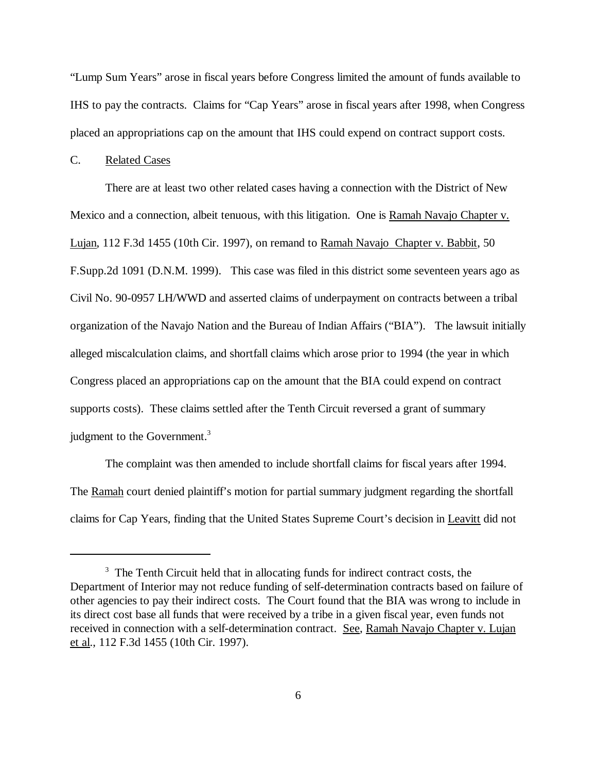"Lump Sum Years" arose in fiscal years before Congress limited the amount of funds available to IHS to pay the contracts. Claims for "Cap Years" arose in fiscal years after 1998, when Congress placed an appropriations cap on the amount that IHS could expend on contract support costs.

#### C. Related Cases

There are at least two other related cases having a connection with the District of New Mexico and a connection, albeit tenuous, with this litigation. One is Ramah Navajo Chapter v. Lujan, 112 F.3d 1455 (10th Cir. 1997), on remand to Ramah Navajo Chapter v. Babbit, 50 F.Supp.2d 1091 (D.N.M. 1999). This case was filed in this district some seventeen years ago as Civil No. 90-0957 LH/WWD and asserted claims of underpayment on contracts between a tribal organization of the Navajo Nation and the Bureau of Indian Affairs ("BIA"). The lawsuit initially alleged miscalculation claims, and shortfall claims which arose prior to 1994 (the year in which Congress placed an appropriations cap on the amount that the BIA could expend on contract supports costs). These claims settled after the Tenth Circuit reversed a grant of summary judgment to the Government.<sup>3</sup>

The complaint was then amended to include shortfall claims for fiscal years after 1994. The Ramah court denied plaintiff's motion for partial summary judgment regarding the shortfall claims for Cap Years, finding that the United States Supreme Court's decision in Leavitt did not

<sup>&</sup>lt;sup>3</sup> The Tenth Circuit held that in allocating funds for indirect contract costs, the Department of Interior may not reduce funding of self-determination contracts based on failure of other agencies to pay their indirect costs. The Court found that the BIA was wrong to include in its direct cost base all funds that were received by a tribe in a given fiscal year, even funds not received in connection with a self-determination contract. See, Ramah Navajo Chapter v. Lujan et al., 112 F.3d 1455 (10th Cir. 1997).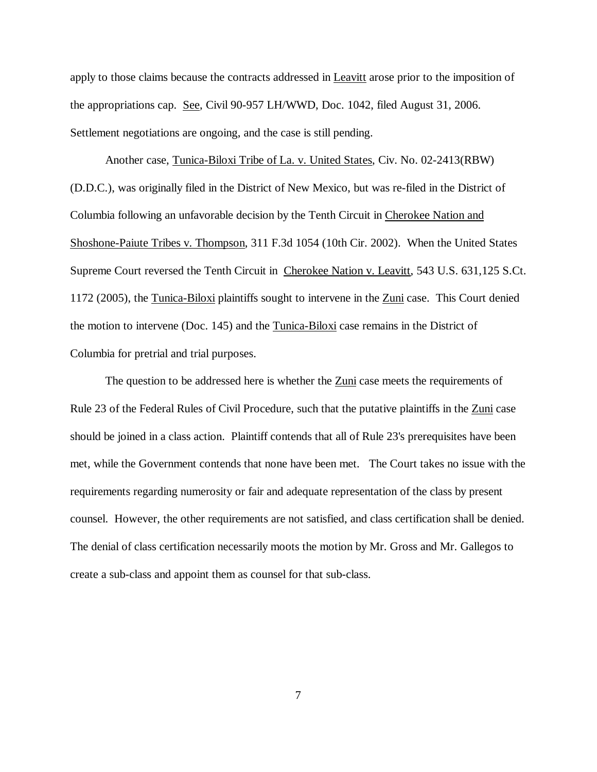apply to those claims because the contracts addressed in Leavitt arose prior to the imposition of the appropriations cap. See, Civil 90-957 LH/WWD, Doc. 1042, filed August 31, 2006. Settlement negotiations are ongoing, and the case is still pending.

Another case, Tunica-Biloxi Tribe of La. v. United States, Civ. No. 02-2413(RBW) (D.D.C.), was originally filed in the District of New Mexico, but was re-filed in the District of Columbia following an unfavorable decision by the Tenth Circuit in Cherokee Nation and Shoshone-Paiute Tribes v. Thompson, 311 F.3d 1054 (10th Cir. 2002). When the United States Supreme Court reversed the Tenth Circuit in Cherokee Nation v. Leavitt, 543 U.S. 631,125 S.Ct. 1172 (2005), the Tunica-Biloxi plaintiffs sought to intervene in the Zuni case. This Court denied the motion to intervene (Doc. 145) and the Tunica-Biloxi case remains in the District of Columbia for pretrial and trial purposes.

The question to be addressed here is whether the Zuni case meets the requirements of Rule 23 of the Federal Rules of Civil Procedure, such that the putative plaintiffs in the Zuni case should be joined in a class action. Plaintiff contends that all of Rule 23's prerequisites have been met, while the Government contends that none have been met. The Court takes no issue with the requirements regarding numerosity or fair and adequate representation of the class by present counsel. However, the other requirements are not satisfied, and class certification shall be denied. The denial of class certification necessarily moots the motion by Mr. Gross and Mr. Gallegos to create a sub-class and appoint them as counsel for that sub-class.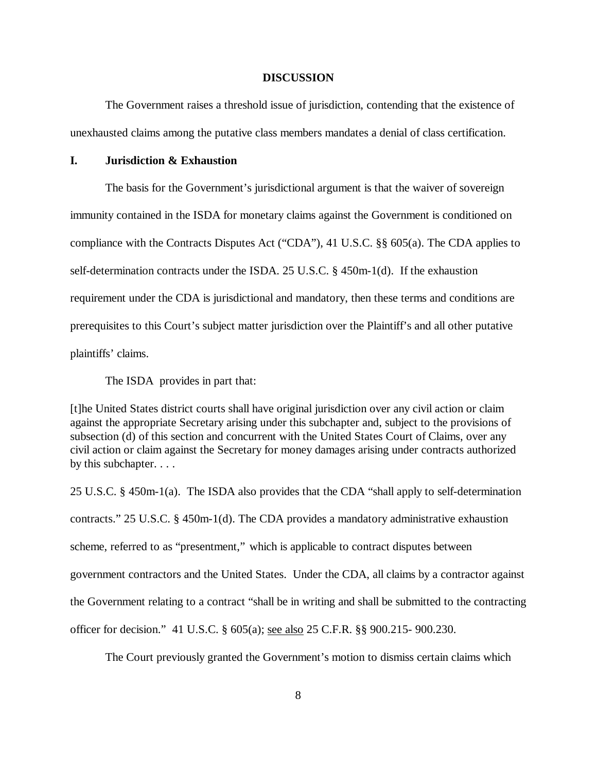#### **DISCUSSION**

The Government raises a threshold issue of jurisdiction, contending that the existence of unexhausted claims among the putative class members mandates a denial of class certification.

# **I. Jurisdiction & Exhaustion**

The basis for the Government's jurisdictional argument is that the waiver of sovereign immunity contained in the ISDA for monetary claims against the Government is conditioned on compliance with the Contracts Disputes Act ("CDA"), 41 U.S.C. §§ 605(a). The CDA applies to self-determination contracts under the ISDA. 25 U.S.C. § 450m-1(d). If the exhaustion requirement under the CDA is jurisdictional and mandatory, then these terms and conditions are prerequisites to this Court's subject matter jurisdiction over the Plaintiff's and all other putative plaintiffs' claims.

The ISDA provides in part that:

[t]he United States district courts shall have original jurisdiction over any civil action or claim against the appropriate Secretary arising under this subchapter and, subject to the provisions of subsection (d) of this section and concurrent with the United States Court of Claims, over any civil action or claim against the Secretary for money damages arising under contracts authorized by this subchapter. . . .

25 U.S.C. § 450m-1(a). The ISDA also provides that the CDA "shall apply to self-determination contracts." 25 U.S.C. § 450m-1(d). The CDA provides a mandatory administrative exhaustion scheme, referred to as "presentment," which is applicable to contract disputes between government contractors and the United States. Under the CDA, all claims by a contractor against the Government relating to a contract "shall be in writing and shall be submitted to the contracting officer for decision." 41 U.S.C. § 605(a); see also 25 C.F.R. §§ 900.215- 900.230.

The Court previously granted the Government's motion to dismiss certain claims which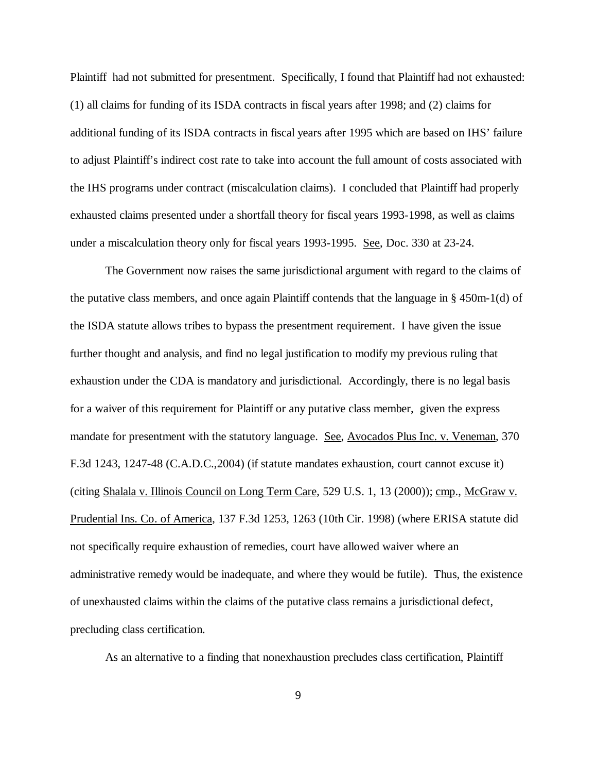Plaintiff had not submitted for presentment. Specifically, I found that Plaintiff had not exhausted: (1) all claims for funding of its ISDA contracts in fiscal years after 1998; and (2) claims for additional funding of its ISDA contracts in fiscal years after 1995 which are based on IHS' failure to adjust Plaintiff's indirect cost rate to take into account the full amount of costs associated with the IHS programs under contract (miscalculation claims). I concluded that Plaintiff had properly exhausted claims presented under a shortfall theory for fiscal years 1993-1998, as well as claims under a miscalculation theory only for fiscal years 1993-1995. See, Doc. 330 at 23-24.

The Government now raises the same jurisdictional argument with regard to the claims of the putative class members, and once again Plaintiff contends that the language in § 450m-1(d) of the ISDA statute allows tribes to bypass the presentment requirement. I have given the issue further thought and analysis, and find no legal justification to modify my previous ruling that exhaustion under the CDA is mandatory and jurisdictional. Accordingly, there is no legal basis for a waiver of this requirement for Plaintiff or any putative class member, given the express mandate for presentment with the statutory language. See, Avocados Plus Inc. v. Veneman, 370 F.3d 1243, 1247-48 (C.A.D.C.,2004) (if statute mandates exhaustion, court cannot excuse it) (citing Shalala v. Illinois Council on Long Term Care, 529 U.S. 1, 13 (2000)); cmp., McGraw v. Prudential Ins. Co. of America, 137 F.3d 1253, 1263 (10th Cir. 1998) (where ERISA statute did not specifically require exhaustion of remedies, court have allowed waiver where an administrative remedy would be inadequate, and where they would be futile). Thus, the existence of unexhausted claims within the claims of the putative class remains a jurisdictional defect, precluding class certification.

As an alternative to a finding that nonexhaustion precludes class certification, Plaintiff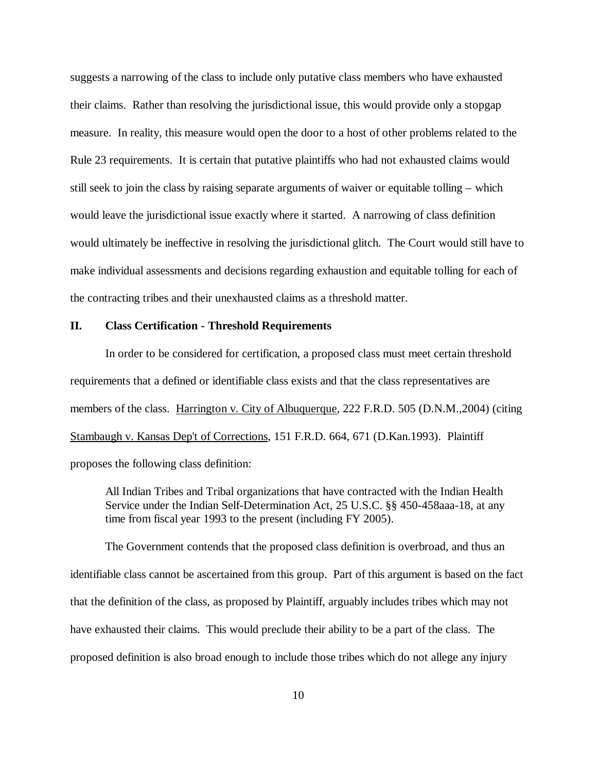suggests a narrowing of the class to include only putative class members who have exhausted their claims. Rather than resolving the jurisdictional issue, this would provide only a stopgap measure. In reality, this measure would open the door to a host of other problems related to the Rule 23 requirements. It is certain that putative plaintiffs who had not exhausted claims would still seek to join the class by raising separate arguments of waiver or equitable tolling – which would leave the jurisdictional issue exactly where it started. A narrowing of class definition would ultimately be ineffective in resolving the jurisdictional glitch. The Court would still have to make individual assessments and decisions regarding exhaustion and equitable tolling for each of the contracting tribes and their unexhausted claims as a threshold matter.

# **II. Class Certification - Threshold Requirements**

In order to be considered for certification, a proposed class must meet certain threshold requirements that a defined or identifiable class exists and that the class representatives are members of the class. Harrington v. City of Albuquerque, 222 F.R.D. 505 (D.N.M., 2004) (citing Stambaugh v. Kansas Dep't of Corrections, 151 F.R.D. 664, 671 (D.Kan.1993). Plaintiff proposes the following class definition:

All Indian Tribes and Tribal organizations that have contracted with the Indian Health Service under the Indian Self-Determination Act, 25 U.S.C. §§ 450-458aaa-18, at any time from fiscal year 1993 to the present (including FY 2005).

The Government contends that the proposed class definition is overbroad, and thus an identifiable class cannot be ascertained from this group. Part of this argument is based on the fact that the definition of the class, as proposed by Plaintiff, arguably includes tribes which may not have exhausted their claims. This would preclude their ability to be a part of the class. The proposed definition is also broad enough to include those tribes which do not allege any injury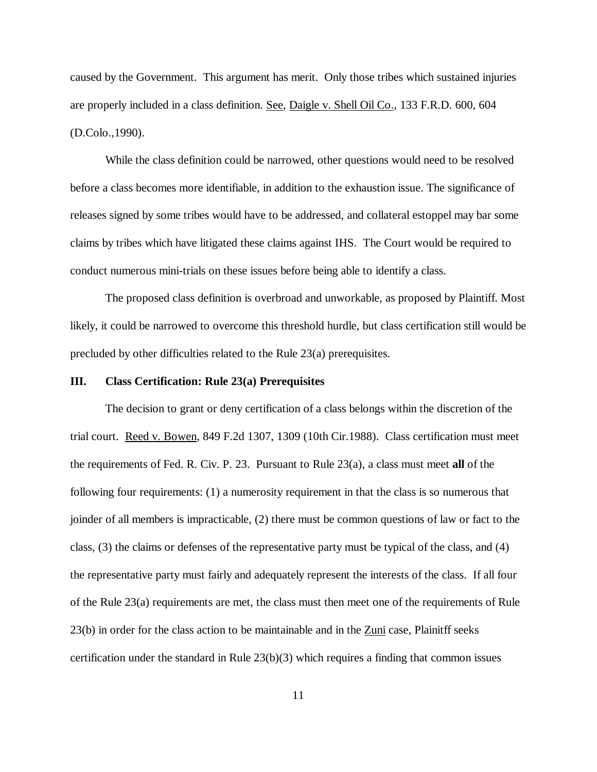caused by the Government. This argument has merit. Only those tribes which sustained injuries are properly included in a class definition. See, Daigle v. Shell Oil Co., 133 F.R.D. 600, 604 (D.Colo.,1990).

While the class definition could be narrowed, other questions would need to be resolved before a class becomes more identifiable, in addition to the exhaustion issue. The significance of releases signed by some tribes would have to be addressed, and collateral estoppel may bar some claims by tribes which have litigated these claims against IHS. The Court would be required to conduct numerous mini-trials on these issues before being able to identify a class.

The proposed class definition is overbroad and unworkable, as proposed by Plaintiff. Most likely, it could be narrowed to overcome this threshold hurdle, but class certification still would be precluded by other difficulties related to the Rule 23(a) prerequisites.

#### **III. Class Certification: Rule 23(a) Prerequisites**

The decision to grant or deny certification of a class belongs within the discretion of the trial court. Reed v. Bowen, 849 F.2d 1307, 1309 (10th Cir.1988). Class certification must meet the requirements of Fed. R. Civ. P. 23. Pursuant to Rule 23(a), a class must meet **all** of the following four requirements: (1) a numerosity requirement in that the class is so numerous that joinder of all members is impracticable, (2) there must be common questions of law or fact to the class, (3) the claims or defenses of the representative party must be typical of the class, and (4) the representative party must fairly and adequately represent the interests of the class. If all four of the Rule 23(a) requirements are met, the class must then meet one of the requirements of Rule 23(b) in order for the class action to be maintainable and in the Zuni case, Plainitff seeks certification under the standard in Rule 23(b)(3) which requires a finding that common issues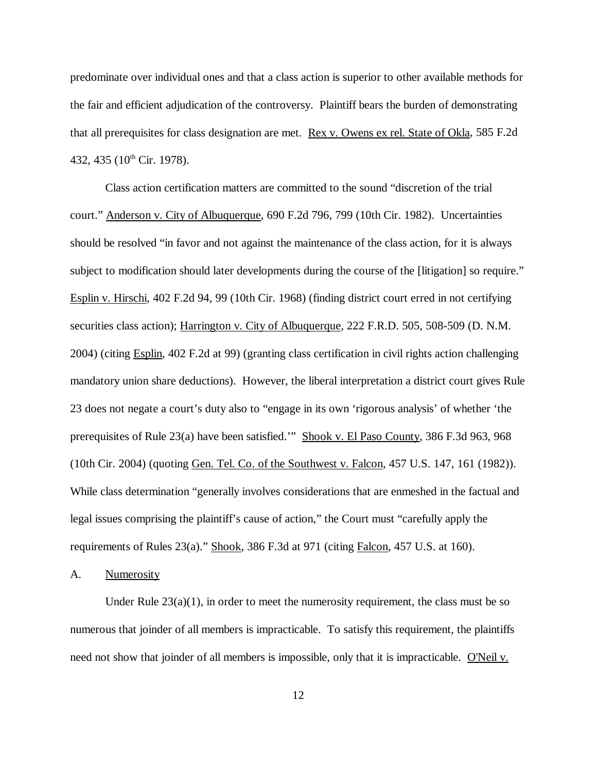predominate over individual ones and that a class action is superior to other available methods for the fair and efficient adjudication of the controversy. Plaintiff bears the burden of demonstrating that all prerequisites for class designation are met. Rex v. Owens ex rel. State of Okla, 585 F.2d 432, 435 (10<sup>th</sup> Cir. 1978).

Class action certification matters are committed to the sound "discretion of the trial court." Anderson v. City of Albuquerque, 690 F.2d 796, 799 (10th Cir. 1982). Uncertainties should be resolved "in favor and not against the maintenance of the class action, for it is always subject to modification should later developments during the course of the [litigation] so require." Esplin v. Hirschi, 402 F.2d 94, 99 (10th Cir. 1968) (finding district court erred in not certifying securities class action); Harrington v. City of Albuquerque, 222 F.R.D. 505, 508-509 (D. N.M. 2004) (citing Esplin, 402 F.2d at 99) (granting class certification in civil rights action challenging mandatory union share deductions). However, the liberal interpretation a district court gives Rule 23 does not negate a court's duty also to "engage in its own 'rigorous analysis' of whether 'the prerequisites of Rule 23(a) have been satisfied.'" Shook v. El Paso County, 386 F.3d 963, 968 (10th Cir. 2004) (quoting Gen. Tel. Co. of the Southwest v. Falcon, 457 U.S. 147, 161 (1982)). While class determination "generally involves considerations that are enmeshed in the factual and legal issues comprising the plaintiff's cause of action," the Court must "carefully apply the requirements of Rules 23(a)." Shook, 386 F.3d at 971 (citing Falcon, 457 U.S. at 160).

A. Numerosity

Under Rule  $23(a)(1)$ , in order to meet the numerosity requirement, the class must be so numerous that joinder of all members is impracticable. To satisfy this requirement, the plaintiffs need not show that joinder of all members is impossible, only that it is impracticable. O'Neil v.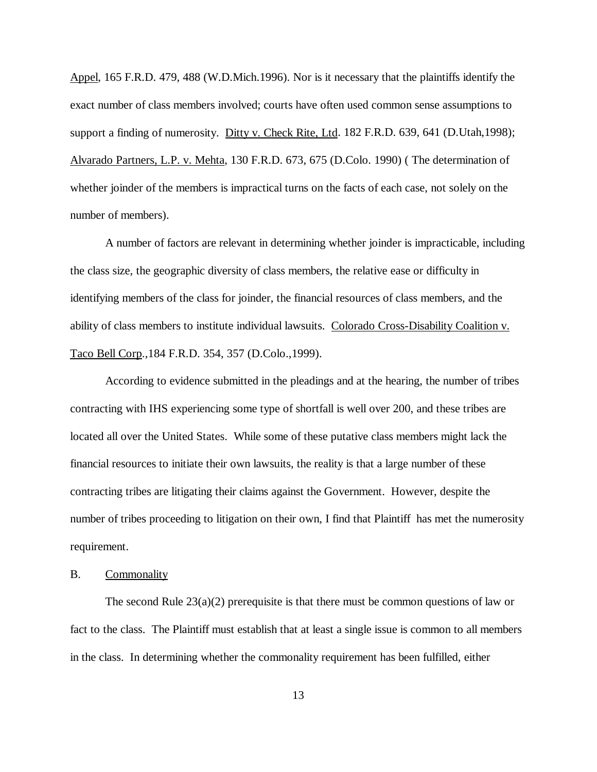Appel, 165 F.R.D. 479, 488 (W.D.Mich.1996). Nor is it necessary that the plaintiffs identify the exact number of class members involved; courts have often used common sense assumptions to support a finding of numerosity. Ditty v. Check Rite, Ltd. 182 F.R.D. 639, 641 (D.Utah,1998); Alvarado Partners, L.P. v. Mehta, 130 F.R.D. 673, 675 (D.Colo. 1990) ( The determination of whether joinder of the members is impractical turns on the facts of each case, not solely on the number of members).

A number of factors are relevant in determining whether joinder is impracticable, including the class size, the geographic diversity of class members, the relative ease or difficulty in identifying members of the class for joinder, the financial resources of class members, and the ability of class members to institute individual lawsuits. Colorado Cross-Disability Coalition v. Taco Bell Corp.,184 F.R.D. 354, 357 (D.Colo.,1999).

According to evidence submitted in the pleadings and at the hearing, the number of tribes contracting with IHS experiencing some type of shortfall is well over 200, and these tribes are located all over the United States. While some of these putative class members might lack the financial resources to initiate their own lawsuits, the reality is that a large number of these contracting tribes are litigating their claims against the Government. However, despite the number of tribes proceeding to litigation on their own, I find that Plaintiff has met the numerosity requirement.

### B. Commonality

The second Rule  $23(a)(2)$  prerequisite is that there must be common questions of law or fact to the class. The Plaintiff must establish that at least a single issue is common to all members in the class. In determining whether the commonality requirement has been fulfilled, either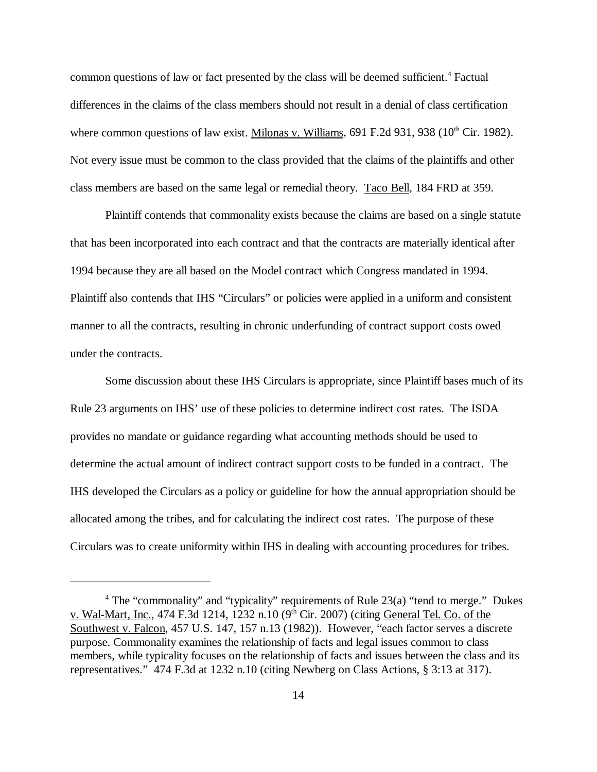common questions of law or fact presented by the class will be deemed sufficient.<sup>4</sup> Factual differences in the claims of the class members should not result in a denial of class certification where common questions of law exist. Milonas v. Williams,  $691$  F.2d  $931$ ,  $938$  ( $10^{th}$  Cir. 1982). Not every issue must be common to the class provided that the claims of the plaintiffs and other class members are based on the same legal or remedial theory. Taco Bell, 184 FRD at 359.

Plaintiff contends that commonality exists because the claims are based on a single statute that has been incorporated into each contract and that the contracts are materially identical after 1994 because they are all based on the Model contract which Congress mandated in 1994. Plaintiff also contends that IHS "Circulars" or policies were applied in a uniform and consistent manner to all the contracts, resulting in chronic underfunding of contract support costs owed under the contracts.

Some discussion about these IHS Circulars is appropriate, since Plaintiff bases much of its Rule 23 arguments on IHS' use of these policies to determine indirect cost rates. The ISDA provides no mandate or guidance regarding what accounting methods should be used to determine the actual amount of indirect contract support costs to be funded in a contract. The IHS developed the Circulars as a policy or guideline for how the annual appropriation should be allocated among the tribes, and for calculating the indirect cost rates. The purpose of these Circulars was to create uniformity within IHS in dealing with accounting procedures for tribes.

<sup>&</sup>lt;sup>4</sup> The "commonality" and "typicality" requirements of Rule 23(a) "tend to merge." Dukes v. Wal-Mart, Inc., 474 F.3d 1214, 1232 n.10 (9<sup>th</sup> Cir. 2007) (citing General Tel. Co. of the Southwest v. Falcon, 457 U.S. 147, 157 n.13 (1982)). However, "each factor serves a discrete purpose. Commonality examines the relationship of facts and legal issues common to class members, while typicality focuses on the relationship of facts and issues between the class and its representatives." 474 F.3d at 1232 n.10 (citing Newberg on Class Actions, § 3:13 at 317).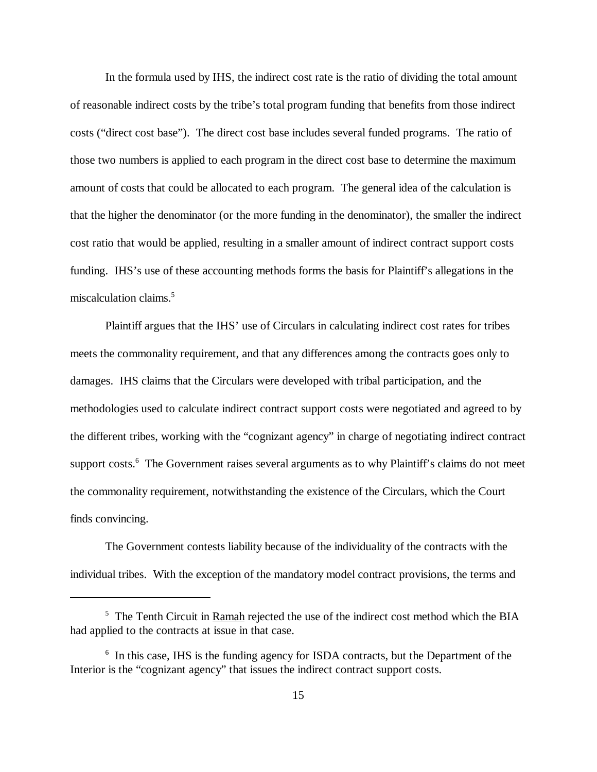In the formula used by IHS, the indirect cost rate is the ratio of dividing the total amount of reasonable indirect costs by the tribe's total program funding that benefits from those indirect costs ("direct cost base"). The direct cost base includes several funded programs. The ratio of those two numbers is applied to each program in the direct cost base to determine the maximum amount of costs that could be allocated to each program. The general idea of the calculation is that the higher the denominator (or the more funding in the denominator), the smaller the indirect cost ratio that would be applied, resulting in a smaller amount of indirect contract support costs funding. IHS's use of these accounting methods forms the basis for Plaintiff's allegations in the miscalculation claims.<sup>5</sup>

Plaintiff argues that the IHS' use of Circulars in calculating indirect cost rates for tribes meets the commonality requirement, and that any differences among the contracts goes only to damages. IHS claims that the Circulars were developed with tribal participation, and the methodologies used to calculate indirect contract support costs were negotiated and agreed to by the different tribes, working with the "cognizant agency" in charge of negotiating indirect contract support costs.<sup>6</sup> The Government raises several arguments as to why Plaintiff's claims do not meet the commonality requirement, notwithstanding the existence of the Circulars, which the Court finds convincing.

The Government contests liability because of the individuality of the contracts with the individual tribes. With the exception of the mandatory model contract provisions, the terms and

 $5$  The Tenth Circuit in Ramah rejected the use of the indirect cost method which the BIA had applied to the contracts at issue in that case.

<sup>&</sup>lt;sup>6</sup> In this case, IHS is the funding agency for ISDA contracts, but the Department of the Interior is the "cognizant agency" that issues the indirect contract support costs.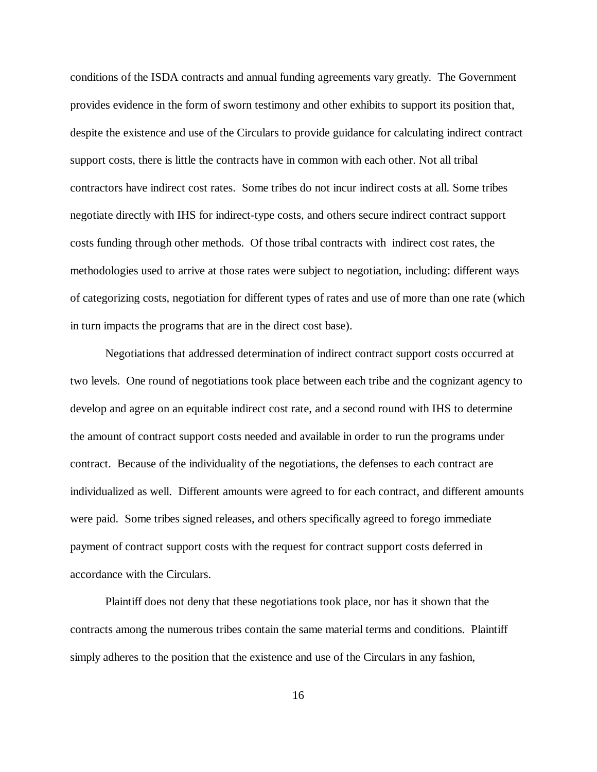conditions of the ISDA contracts and annual funding agreements vary greatly. The Government provides evidence in the form of sworn testimony and other exhibits to support its position that, despite the existence and use of the Circulars to provide guidance for calculating indirect contract support costs, there is little the contracts have in common with each other. Not all tribal contractors have indirect cost rates. Some tribes do not incur indirect costs at all. Some tribes negotiate directly with IHS for indirect-type costs, and others secure indirect contract support costs funding through other methods. Of those tribal contracts with indirect cost rates, the methodologies used to arrive at those rates were subject to negotiation, including: different ways of categorizing costs, negotiation for different types of rates and use of more than one rate (which in turn impacts the programs that are in the direct cost base).

Negotiations that addressed determination of indirect contract support costs occurred at two levels. One round of negotiations took place between each tribe and the cognizant agency to develop and agree on an equitable indirect cost rate, and a second round with IHS to determine the amount of contract support costs needed and available in order to run the programs under contract. Because of the individuality of the negotiations, the defenses to each contract are individualized as well. Different amounts were agreed to for each contract, and different amounts were paid. Some tribes signed releases, and others specifically agreed to forego immediate payment of contract support costs with the request for contract support costs deferred in accordance with the Circulars.

Plaintiff does not deny that these negotiations took place, nor has it shown that the contracts among the numerous tribes contain the same material terms and conditions. Plaintiff simply adheres to the position that the existence and use of the Circulars in any fashion,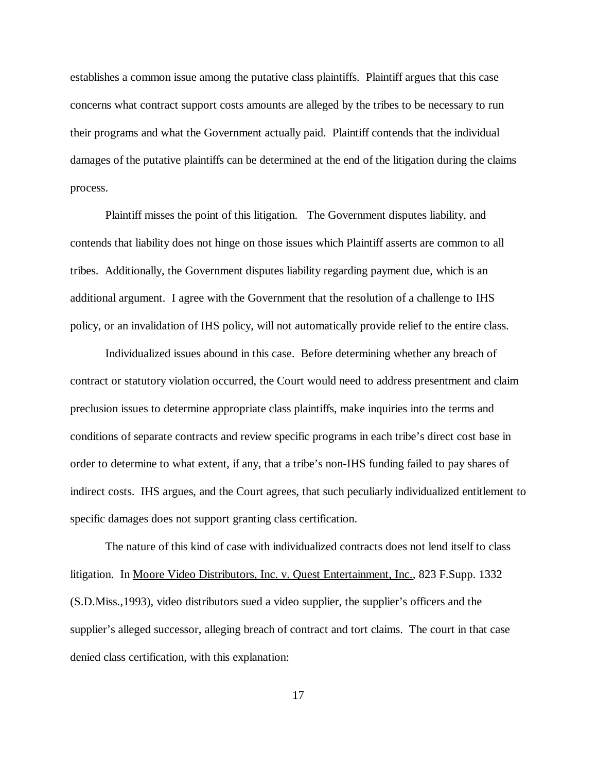establishes a common issue among the putative class plaintiffs. Plaintiff argues that this case concerns what contract support costs amounts are alleged by the tribes to be necessary to run their programs and what the Government actually paid. Plaintiff contends that the individual damages of the putative plaintiffs can be determined at the end of the litigation during the claims process.

Plaintiff misses the point of this litigation. The Government disputes liability, and contends that liability does not hinge on those issues which Plaintiff asserts are common to all tribes. Additionally, the Government disputes liability regarding payment due, which is an additional argument. I agree with the Government that the resolution of a challenge to IHS policy, or an invalidation of IHS policy, will not automatically provide relief to the entire class.

Individualized issues abound in this case. Before determining whether any breach of contract or statutory violation occurred, the Court would need to address presentment and claim preclusion issues to determine appropriate class plaintiffs, make inquiries into the terms and conditions of separate contracts and review specific programs in each tribe's direct cost base in order to determine to what extent, if any, that a tribe's non-IHS funding failed to pay shares of indirect costs. IHS argues, and the Court agrees, that such peculiarly individualized entitlement to specific damages does not support granting class certification.

The nature of this kind of case with individualized contracts does not lend itself to class litigation. In Moore Video Distributors, Inc. v. Quest Entertainment, Inc., 823 F.Supp. 1332 (S.D.Miss.,1993), video distributors sued a video supplier, the supplier's officers and the supplier's alleged successor, alleging breach of contract and tort claims. The court in that case denied class certification, with this explanation: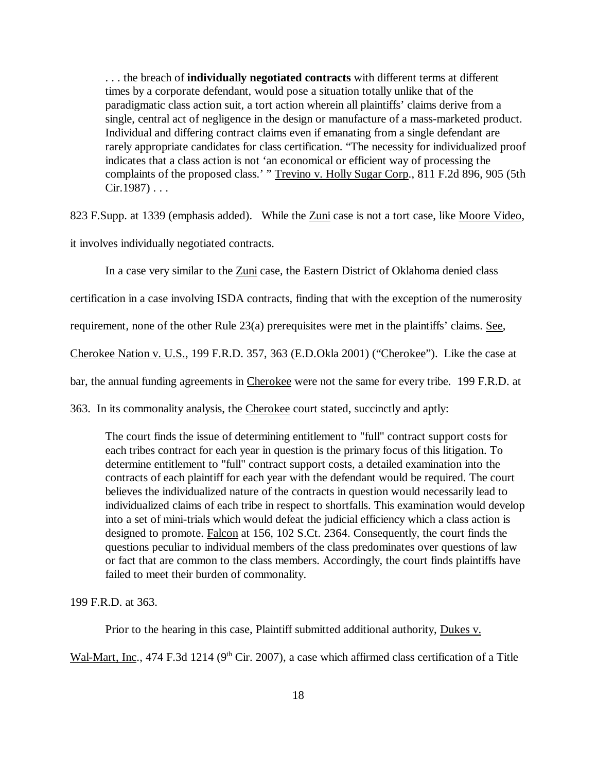. . . the breach of **individually negotiated contracts** with different terms at different times by a corporate defendant, would pose a situation totally unlike that of the paradigmatic class action suit, a tort action wherein all plaintiffs' claims derive from a single, central act of negligence in the design or manufacture of a mass-marketed product. Individual and differing contract claims even if emanating from a single defendant are rarely appropriate candidates for class certification. "The necessity for individualized proof indicates that a class action is not 'an economical or efficient way of processing the complaints of the proposed class.' " Trevino v. Holly Sugar Corp., 811 F.2d 896, 905 (5th  $Cir.1987) \ldots$ 

823 F.Supp. at 1339 (emphasis added). While the Zuni case is not a tort case, like Moore Video,

it involves individually negotiated contracts.

In a case very similar to the Zuni case, the Eastern District of Oklahoma denied class

certification in a case involving ISDA contracts, finding that with the exception of the numerosity

requirement, none of the other Rule 23(a) prerequisites were met in the plaintiffs' claims. See,

Cherokee Nation v. U.S., 199 F.R.D. 357, 363 (E.D.Okla 2001) ("Cherokee"). Like the case at

bar, the annual funding agreements in Cherokee were not the same for every tribe. 199 F.R.D. at

363. In its commonality analysis, the Cherokee court stated, succinctly and aptly:

The court finds the issue of determining entitlement to "full" contract support costs for each tribes contract for each year in question is the primary focus of this litigation. To determine entitlement to "full" contract support costs, a detailed examination into the contracts of each plaintiff for each year with the defendant would be required. The court believes the individualized nature of the contracts in question would necessarily lead to individualized claims of each tribe in respect to shortfalls. This examination would develop into a set of mini-trials which would defeat the judicial efficiency which a class action is designed to promote. Falcon at 156, 102 S.Ct. 2364. Consequently, the court finds the questions peculiar to individual members of the class predominates over questions of law or fact that are common to the class members. Accordingly, the court finds plaintiffs have failed to meet their burden of commonality.

199 F.R.D. at 363.

Prior to the hearing in this case, Plaintiff submitted additional authority, Dukes v.

Wal-Mart, Inc., 474 F.3d 1214 (9<sup>th</sup> Cir. 2007), a case which affirmed class certification of a Title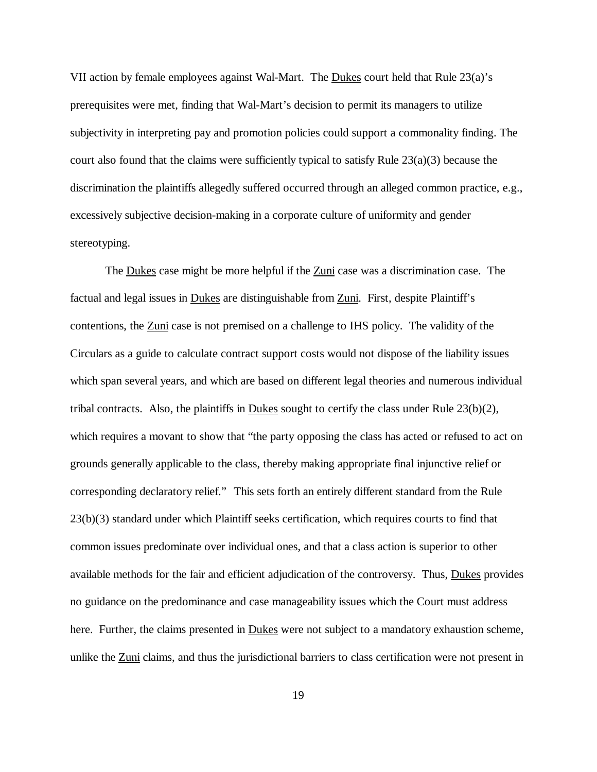VII action by female employees against Wal-Mart. The Dukes court held that Rule 23(a)'s prerequisites were met, finding that Wal-Mart's decision to permit its managers to utilize subjectivity in interpreting pay and promotion policies could support a commonality finding. The court also found that the claims were sufficiently typical to satisfy Rule  $23(a)(3)$  because the discrimination the plaintiffs allegedly suffered occurred through an alleged common practice, e.g., excessively subjective decision-making in a corporate culture of uniformity and gender stereotyping.

The Dukes case might be more helpful if the Zuni case was a discrimination case. The factual and legal issues in Dukes are distinguishable from Zuni. First, despite Plaintiff's contentions, the Zuni case is not premised on a challenge to IHS policy. The validity of the Circulars as a guide to calculate contract support costs would not dispose of the liability issues which span several years, and which are based on different legal theories and numerous individual tribal contracts. Also, the plaintiffs in Dukes sought to certify the class under Rule 23(b)(2), which requires a movant to show that "the party opposing the class has acted or refused to act on grounds generally applicable to the class, thereby making appropriate final injunctive relief or corresponding declaratory relief." This sets forth an entirely different standard from the Rule 23(b)(3) standard under which Plaintiff seeks certification, which requires courts to find that common issues predominate over individual ones, and that a class action is superior to other available methods for the fair and efficient adjudication of the controversy. Thus, Dukes provides no guidance on the predominance and case manageability issues which the Court must address here. Further, the claims presented in Dukes were not subject to a mandatory exhaustion scheme, unlike the Zuni claims, and thus the jurisdictional barriers to class certification were not present in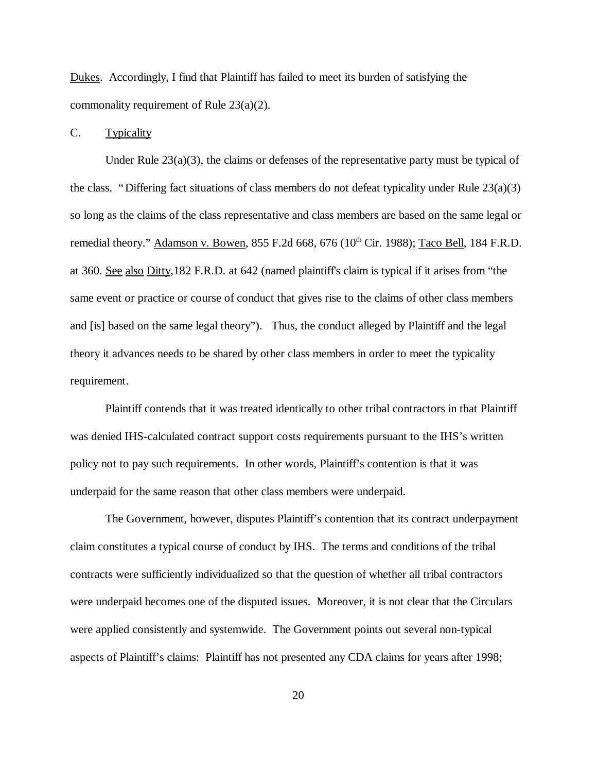Dukes. Accordingly, I find that Plaintiff has failed to meet its burden of satisfying the commonality requirement of Rule 23(a)(2).

#### C. Typicality

Under Rule  $23(a)(3)$ , the claims or defenses of the representative party must be typical of the class. "Differing fact situations of class members do not defeat typicality under Rule 23(a)(3) so long as the claims of the class representative and class members are based on the same legal or remedial theory." Adamson v. Bowen, 855 F.2d 668, 676 (10<sup>th</sup> Cir. 1988); Taco Bell, 184 F.R.D. at 360. See also Ditty,182 F.R.D. at 642 (named plaintiff's claim is typical if it arises from "the same event or practice or course of conduct that gives rise to the claims of other class members and [is] based on the same legal theory"). Thus, the conduct alleged by Plaintiff and the legal theory it advances needs to be shared by other class members in order to meet the typicality requirement.

Plaintiff contends that it was treated identically to other tribal contractors in that Plaintiff was denied IHS-calculated contract support costs requirements pursuant to the IHS's written policy not to pay such requirements. In other words, Plaintiff's contention is that it was underpaid for the same reason that other class members were underpaid.

The Government, however, disputes Plaintiff's contention that its contract underpayment claim constitutes a typical course of conduct by IHS. The terms and conditions of the tribal contracts were sufficiently individualized so that the question of whether all tribal contractors were underpaid becomes one of the disputed issues. Moreover, it is not clear that the Circulars were applied consistently and systemwide. The Government points out several non-typical aspects of Plaintiff's claims: Plaintiff has not presented any CDA claims for years after 1998;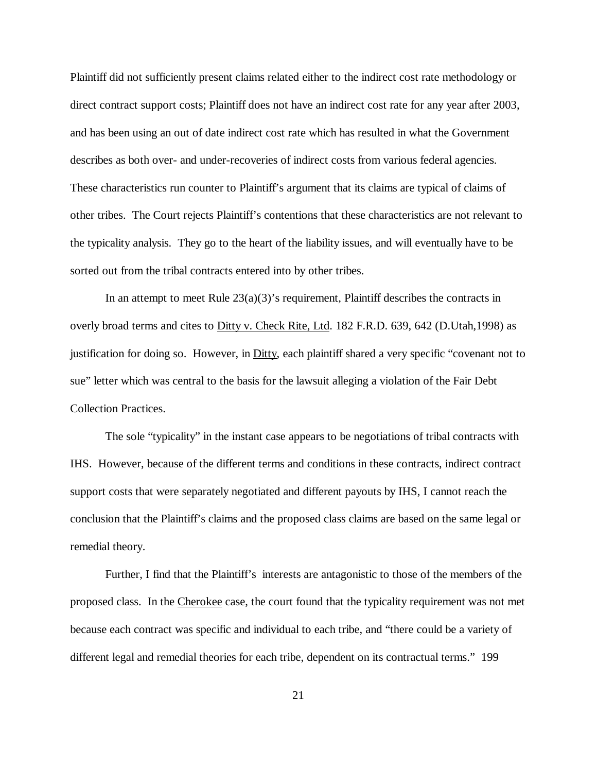Plaintiff did not sufficiently present claims related either to the indirect cost rate methodology or direct contract support costs; Plaintiff does not have an indirect cost rate for any year after 2003, and has been using an out of date indirect cost rate which has resulted in what the Government describes as both over- and under-recoveries of indirect costs from various federal agencies. These characteristics run counter to Plaintiff's argument that its claims are typical of claims of other tribes. The Court rejects Plaintiff's contentions that these characteristics are not relevant to the typicality analysis. They go to the heart of the liability issues, and will eventually have to be sorted out from the tribal contracts entered into by other tribes.

In an attempt to meet Rule  $23(a)(3)$ 's requirement, Plaintiff describes the contracts in overly broad terms and cites to Ditty v. Check Rite, Ltd. 182 F.R.D. 639, 642 (D.Utah,1998) as justification for doing so. However, in Ditty, each plaintiff shared a very specific "covenant not to sue" letter which was central to the basis for the lawsuit alleging a violation of the Fair Debt Collection Practices.

The sole "typicality" in the instant case appears to be negotiations of tribal contracts with IHS. However, because of the different terms and conditions in these contracts, indirect contract support costs that were separately negotiated and different payouts by IHS, I cannot reach the conclusion that the Plaintiff's claims and the proposed class claims are based on the same legal or remedial theory.

Further, I find that the Plaintiff's interests are antagonistic to those of the members of the proposed class. In the Cherokee case, the court found that the typicality requirement was not met because each contract was specific and individual to each tribe, and "there could be a variety of different legal and remedial theories for each tribe, dependent on its contractual terms." 199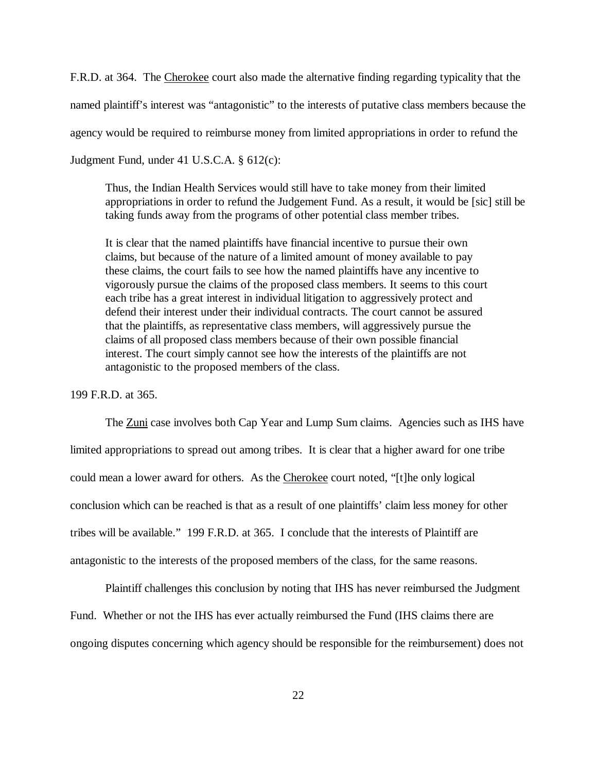F.R.D. at 364. The Cherokee court also made the alternative finding regarding typicality that the named plaintiff's interest was "antagonistic" to the interests of putative class members because the agency would be required to reimburse money from limited appropriations in order to refund the Judgment Fund, under 41 U.S.C.A. § 612(c):

Thus, the Indian Health Services would still have to take money from their limited appropriations in order to refund the Judgement Fund. As a result, it would be [sic] still be taking funds away from the programs of other potential class member tribes.

It is clear that the named plaintiffs have financial incentive to pursue their own claims, but because of the nature of a limited amount of money available to pay these claims, the court fails to see how the named plaintiffs have any incentive to vigorously pursue the claims of the proposed class members. It seems to this court each tribe has a great interest in individual litigation to aggressively protect and defend their interest under their individual contracts. The court cannot be assured that the plaintiffs, as representative class members, will aggressively pursue the claims of all proposed class members because of their own possible financial interest. The court simply cannot see how the interests of the plaintiffs are not antagonistic to the proposed members of the class.

199 F.R.D. at 365.

The Zuni case involves both Cap Year and Lump Sum claims. Agencies such as IHS have limited appropriations to spread out among tribes. It is clear that a higher award for one tribe could mean a lower award for others. As the Cherokee court noted, "[t]he only logical conclusion which can be reached is that as a result of one plaintiffs' claim less money for other tribes will be available." 199 F.R.D. at 365. I conclude that the interests of Plaintiff are antagonistic to the interests of the proposed members of the class, for the same reasons.

Plaintiff challenges this conclusion by noting that IHS has never reimbursed the Judgment Fund. Whether or not the IHS has ever actually reimbursed the Fund (IHS claims there are ongoing disputes concerning which agency should be responsible for the reimbursement) does not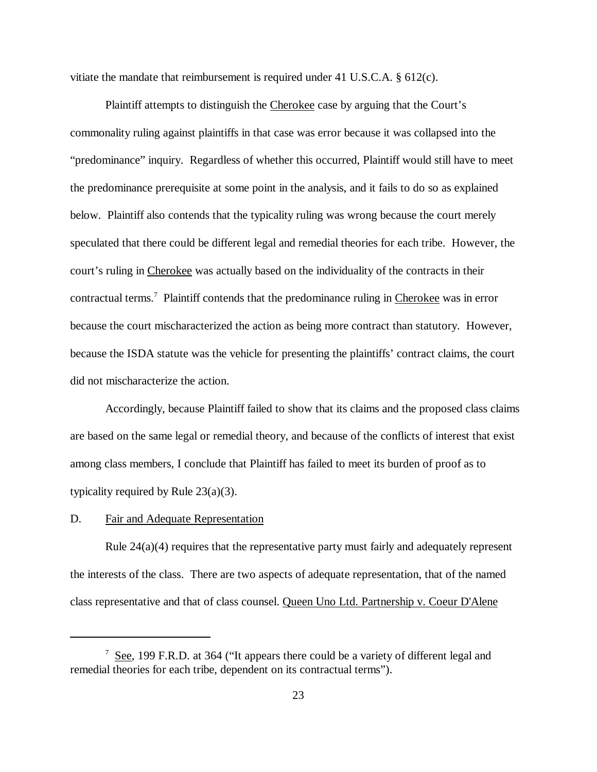vitiate the mandate that reimbursement is required under 41 U.S.C.A.  $\S 612(c)$ .

Plaintiff attempts to distinguish the Cherokee case by arguing that the Court's commonality ruling against plaintiffs in that case was error because it was collapsed into the "predominance" inquiry. Regardless of whether this occurred, Plaintiff would still have to meet the predominance prerequisite at some point in the analysis, and it fails to do so as explained below. Plaintiff also contends that the typicality ruling was wrong because the court merely speculated that there could be different legal and remedial theories for each tribe. However, the court's ruling in Cherokee was actually based on the individuality of the contracts in their contractual terms.<sup>7</sup> Plaintiff contends that the predominance ruling in Cherokee was in error because the court mischaracterized the action as being more contract than statutory. However, because the ISDA statute was the vehicle for presenting the plaintiffs' contract claims, the court did not mischaracterize the action.

Accordingly, because Plaintiff failed to show that its claims and the proposed class claims are based on the same legal or remedial theory, and because of the conflicts of interest that exist among class members, I conclude that Plaintiff has failed to meet its burden of proof as to typicality required by Rule 23(a)(3).

#### D. Fair and Adequate Representation

Rule  $24(a)(4)$  requires that the representative party must fairly and adequately represent the interests of the class. There are two aspects of adequate representation, that of the named class representative and that of class counsel. Queen Uno Ltd. Partnership v. Coeur D'Alene

 $7 \text{ See}$ , 199 F.R.D. at 364 ("It appears there could be a variety of different legal and remedial theories for each tribe, dependent on its contractual terms").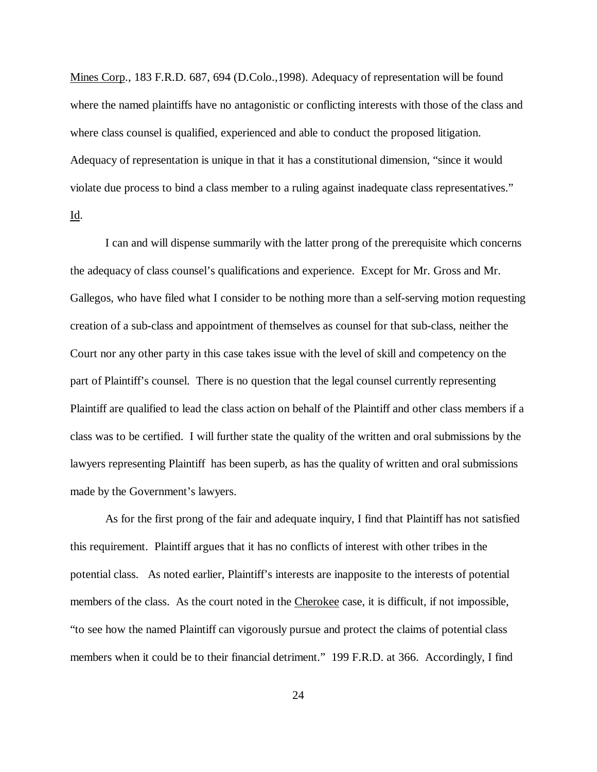Mines Corp., 183 F.R.D. 687, 694 (D.Colo.,1998). Adequacy of representation will be found where the named plaintiffs have no antagonistic or conflicting interests with those of the class and where class counsel is qualified, experienced and able to conduct the proposed litigation. Adequacy of representation is unique in that it has a constitutional dimension, "since it would violate due process to bind a class member to a ruling against inadequate class representatives." Id.

I can and will dispense summarily with the latter prong of the prerequisite which concerns the adequacy of class counsel's qualifications and experience. Except for Mr. Gross and Mr. Gallegos, who have filed what I consider to be nothing more than a self-serving motion requesting creation of a sub-class and appointment of themselves as counsel for that sub-class, neither the Court nor any other party in this case takes issue with the level of skill and competency on the part of Plaintiff's counsel. There is no question that the legal counsel currently representing Plaintiff are qualified to lead the class action on behalf of the Plaintiff and other class members if a class was to be certified. I will further state the quality of the written and oral submissions by the lawyers representing Plaintiff has been superb, as has the quality of written and oral submissions made by the Government's lawyers.

As for the first prong of the fair and adequate inquiry, I find that Plaintiff has not satisfied this requirement. Plaintiff argues that it has no conflicts of interest with other tribes in the potential class. As noted earlier, Plaintiff's interests are inapposite to the interests of potential members of the class. As the court noted in the Cherokee case, it is difficult, if not impossible, "to see how the named Plaintiff can vigorously pursue and protect the claims of potential class members when it could be to their financial detriment." 199 F.R.D. at 366. Accordingly, I find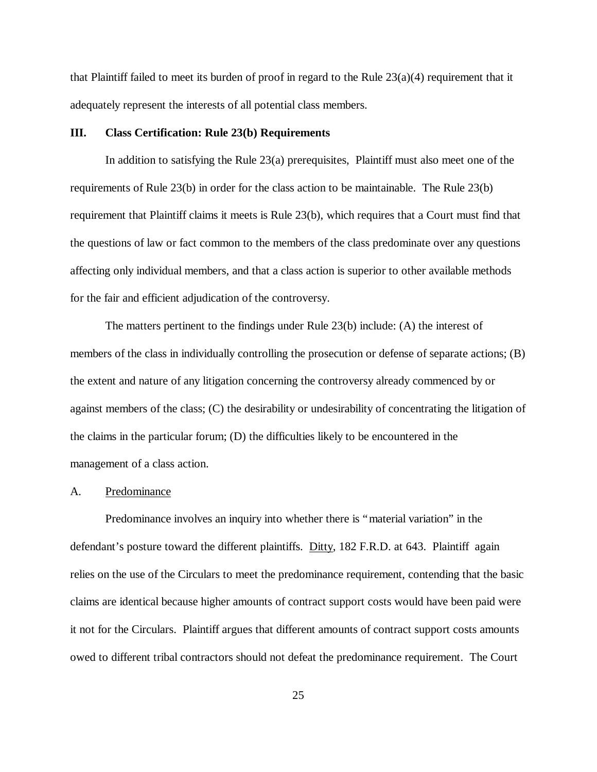that Plaintiff failed to meet its burden of proof in regard to the Rule 23(a)(4) requirement that it adequately represent the interests of all potential class members.

#### **III. Class Certification: Rule 23(b) Requirements**

In addition to satisfying the Rule 23(a) prerequisites, Plaintiff must also meet one of the requirements of Rule 23(b) in order for the class action to be maintainable. The Rule 23(b) requirement that Plaintiff claims it meets is Rule 23(b), which requires that a Court must find that the questions of law or fact common to the members of the class predominate over any questions affecting only individual members, and that a class action is superior to other available methods for the fair and efficient adjudication of the controversy.

The matters pertinent to the findings under Rule 23(b) include: (A) the interest of members of the class in individually controlling the prosecution or defense of separate actions; (B) the extent and nature of any litigation concerning the controversy already commenced by or against members of the class; (C) the desirability or undesirability of concentrating the litigation of the claims in the particular forum; (D) the difficulties likely to be encountered in the management of a class action.

#### A. Predominance

Predominance involves an inquiry into whether there is "material variation" in the defendant's posture toward the different plaintiffs. Ditty, 182 F.R.D. at 643. Plaintiff again relies on the use of the Circulars to meet the predominance requirement, contending that the basic claims are identical because higher amounts of contract support costs would have been paid were it not for the Circulars. Plaintiff argues that different amounts of contract support costs amounts owed to different tribal contractors should not defeat the predominance requirement. The Court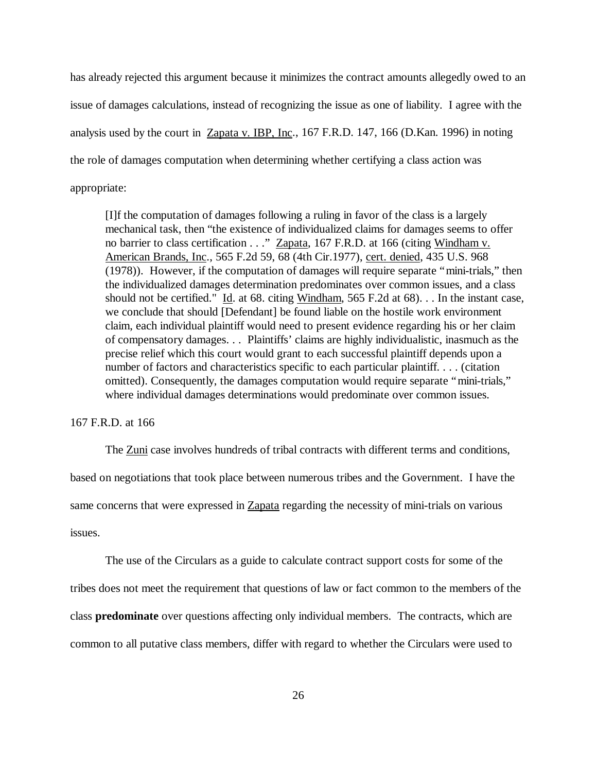has already rejected this argument because it minimizes the contract amounts allegedly owed to an issue of damages calculations, instead of recognizing the issue as one of liability. I agree with the analysis used by the court in Zapata v. IBP, Inc., 167 F.R.D. 147, 166 (D.Kan. 1996) in noting the role of damages computation when determining whether certifying a class action was appropriate:

[I]f the computation of damages following a ruling in favor of the class is a largely mechanical task, then "the existence of individualized claims for damages seems to offer no barrier to class certification . . ." Zapata, 167 F.R.D. at 166 (citing Windham v. American Brands, Inc., 565 F.2d 59, 68 (4th Cir.1977), cert. denied, 435 U.S. 968 (1978)). However, if the computation of damages will require separate "mini-trials," then the individualized damages determination predominates over common issues, and a class should not be certified." Id. at 68. citing Windham, 565 F.2d at 68). . . In the instant case, we conclude that should [Defendant] be found liable on the hostile work environment claim, each individual plaintiff would need to present evidence regarding his or her claim of compensatory damages. . . Plaintiffs' claims are highly individualistic, inasmuch as the precise relief which this court would grant to each successful plaintiff depends upon a number of factors and characteristics specific to each particular plaintiff. . . . (citation omitted). Consequently, the damages computation would require separate "mini-trials," where individual damages determinations would predominate over common issues.

### 167 F.R.D. at 166

The Zuni case involves hundreds of tribal contracts with different terms and conditions,

based on negotiations that took place between numerous tribes and the Government. I have the

same concerns that were expressed in Zapata regarding the necessity of mini-trials on various

## issues.

The use of the Circulars as a guide to calculate contract support costs for some of the

tribes does not meet the requirement that questions of law or fact common to the members of the

class **predominate** over questions affecting only individual members. The contracts, which are

common to all putative class members, differ with regard to whether the Circulars were used to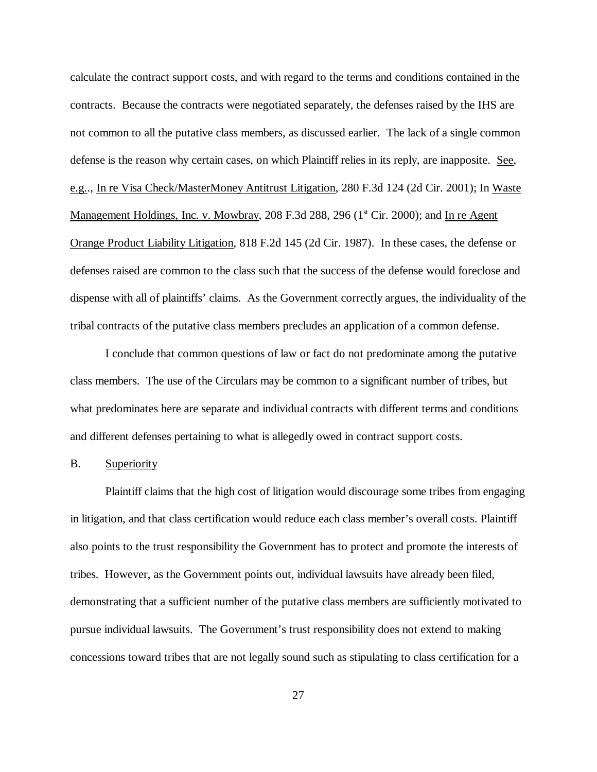calculate the contract support costs, and with regard to the terms and conditions contained in the contracts. Because the contracts were negotiated separately, the defenses raised by the IHS are not common to all the putative class members, as discussed earlier. The lack of a single common defense is the reason why certain cases, on which Plaintiff relies in its reply, are inapposite. See, e.g.., In re Visa Check/MasterMoney Antitrust Litigation, 280 F.3d 124 (2d Cir. 2001); In Waste Management Holdings, Inc. v. Mowbray, 208 F.3d 288, 296 ( $1<sup>st</sup> Cir. 2000$ ); and In re Agent Orange Product Liability Litigation, 818 F.2d 145 (2d Cir. 1987). In these cases, the defense or defenses raised are common to the class such that the success of the defense would foreclose and dispense with all of plaintiffs' claims. As the Government correctly argues, the individuality of the tribal contracts of the putative class members precludes an application of a common defense.

I conclude that common questions of law or fact do not predominate among the putative class members. The use of the Circulars may be common to a significant number of tribes, but what predominates here are separate and individual contracts with different terms and conditions and different defenses pertaining to what is allegedly owed in contract support costs.

#### B. Superiority

Plaintiff claims that the high cost of litigation would discourage some tribes from engaging in litigation, and that class certification would reduce each class member's overall costs. Plaintiff also points to the trust responsibility the Government has to protect and promote the interests of tribes. However, as the Government points out, individual lawsuits have already been filed, demonstrating that a sufficient number of the putative class members are sufficiently motivated to pursue individual lawsuits. The Government's trust responsibility does not extend to making concessions toward tribes that are not legally sound such as stipulating to class certification for a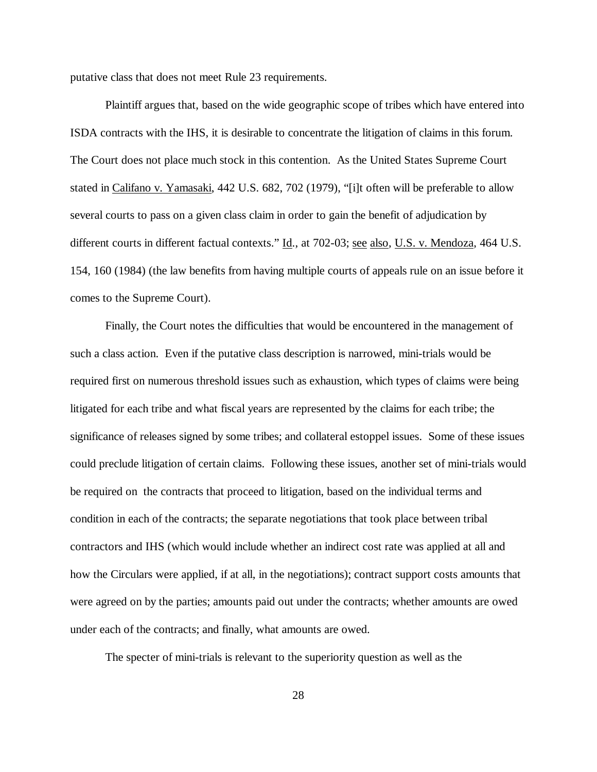putative class that does not meet Rule 23 requirements.

Plaintiff argues that, based on the wide geographic scope of tribes which have entered into ISDA contracts with the IHS, it is desirable to concentrate the litigation of claims in this forum. The Court does not place much stock in this contention. As the United States Supreme Court stated in Califano v. Yamasaki, 442 U.S. 682, 702 (1979), "[i]t often will be preferable to allow several courts to pass on a given class claim in order to gain the benefit of adjudication by different courts in different factual contexts." Id., at 702-03; see also, U.S. v. Mendoza, 464 U.S. 154, 160 (1984) (the law benefits from having multiple courts of appeals rule on an issue before it comes to the Supreme Court).

Finally, the Court notes the difficulties that would be encountered in the management of such a class action. Even if the putative class description is narrowed, mini-trials would be required first on numerous threshold issues such as exhaustion, which types of claims were being litigated for each tribe and what fiscal years are represented by the claims for each tribe; the significance of releases signed by some tribes; and collateral estoppel issues. Some of these issues could preclude litigation of certain claims. Following these issues, another set of mini-trials would be required on the contracts that proceed to litigation, based on the individual terms and condition in each of the contracts; the separate negotiations that took place between tribal contractors and IHS (which would include whether an indirect cost rate was applied at all and how the Circulars were applied, if at all, in the negotiations); contract support costs amounts that were agreed on by the parties; amounts paid out under the contracts; whether amounts are owed under each of the contracts; and finally, what amounts are owed.

The specter of mini-trials is relevant to the superiority question as well as the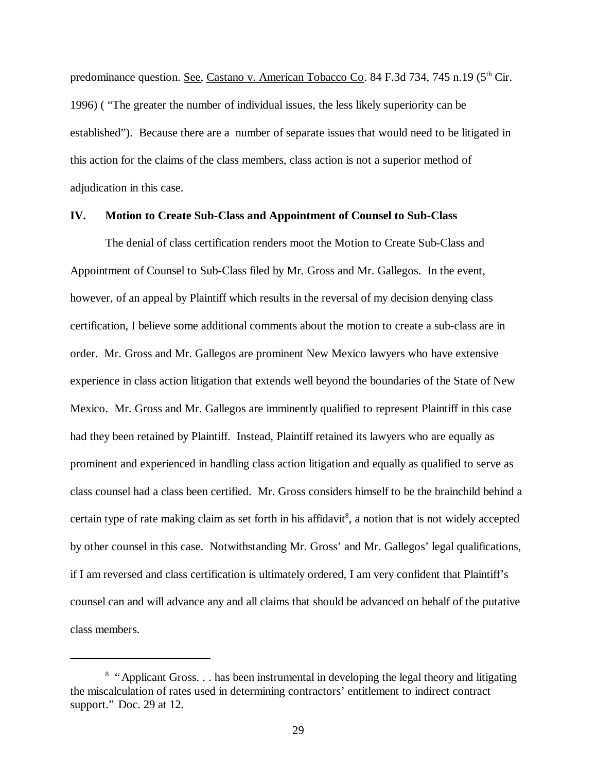predominance question. See, Castano v. American Tobacco Co. 84 F.3d 734, 745 n.19 (5<sup>th</sup> Cir. 1996) ( "The greater the number of individual issues, the less likely superiority can be established"). Because there are a number of separate issues that would need to be litigated in this action for the claims of the class members, class action is not a superior method of adjudication in this case.

#### **IV. Motion to Create Sub-Class and Appointment of Counsel to Sub-Class**

The denial of class certification renders moot the Motion to Create Sub-Class and Appointment of Counsel to Sub-Class filed by Mr. Gross and Mr. Gallegos. In the event, however, of an appeal by Plaintiff which results in the reversal of my decision denying class certification, I believe some additional comments about the motion to create a sub-class are in order. Mr. Gross and Mr. Gallegos are prominent New Mexico lawyers who have extensive experience in class action litigation that extends well beyond the boundaries of the State of New Mexico. Mr. Gross and Mr. Gallegos are imminently qualified to represent Plaintiff in this case had they been retained by Plaintiff. Instead, Plaintiff retained its lawyers who are equally as prominent and experienced in handling class action litigation and equally as qualified to serve as class counsel had a class been certified. Mr. Gross considers himself to be the brainchild behind a certain type of rate making claim as set forth in his affidavit<sup>8</sup>, a notion that is not widely accepted by other counsel in this case. Notwithstanding Mr. Gross' and Mr. Gallegos' legal qualifications, if I am reversed and class certification is ultimately ordered, I am very confident that Plaintiff's counsel can and will advance any and all claims that should be advanced on behalf of the putative class members.

<sup>&</sup>lt;sup>8</sup> "Applicant Gross... has been instrumental in developing the legal theory and litigating the miscalculation of rates used in determining contractors' entitlement to indirect contract support." Doc. 29 at 12.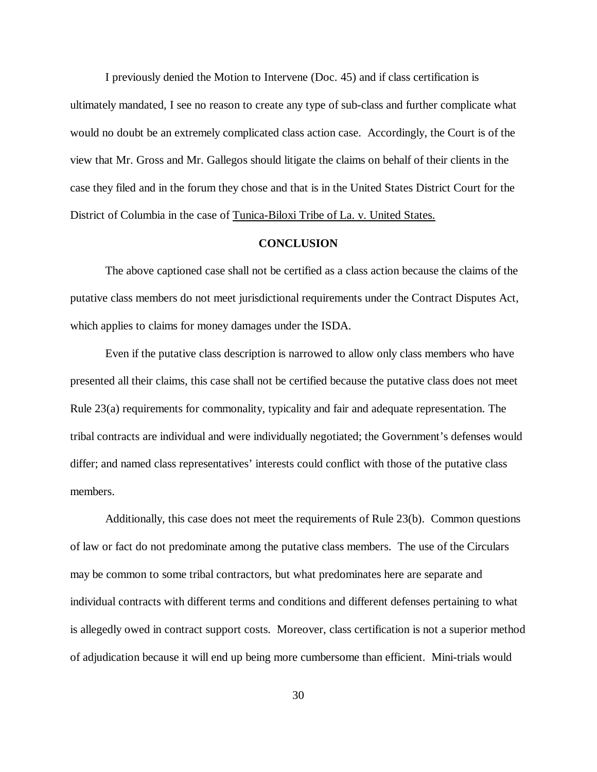I previously denied the Motion to Intervene (Doc. 45) and if class certification is ultimately mandated, I see no reason to create any type of sub-class and further complicate what would no doubt be an extremely complicated class action case. Accordingly, the Court is of the view that Mr. Gross and Mr. Gallegos should litigate the claims on behalf of their clients in the case they filed and in the forum they chose and that is in the United States District Court for the District of Columbia in the case of Tunica-Biloxi Tribe of La. v. United States.

#### **CONCLUSION**

The above captioned case shall not be certified as a class action because the claims of the putative class members do not meet jurisdictional requirements under the Contract Disputes Act, which applies to claims for money damages under the ISDA.

Even if the putative class description is narrowed to allow only class members who have presented all their claims, this case shall not be certified because the putative class does not meet Rule 23(a) requirements for commonality, typicality and fair and adequate representation. The tribal contracts are individual and were individually negotiated; the Government's defenses would differ; and named class representatives' interests could conflict with those of the putative class members.

Additionally, this case does not meet the requirements of Rule 23(b). Common questions of law or fact do not predominate among the putative class members. The use of the Circulars may be common to some tribal contractors, but what predominates here are separate and individual contracts with different terms and conditions and different defenses pertaining to what is allegedly owed in contract support costs. Moreover, class certification is not a superior method of adjudication because it will end up being more cumbersome than efficient. Mini-trials would